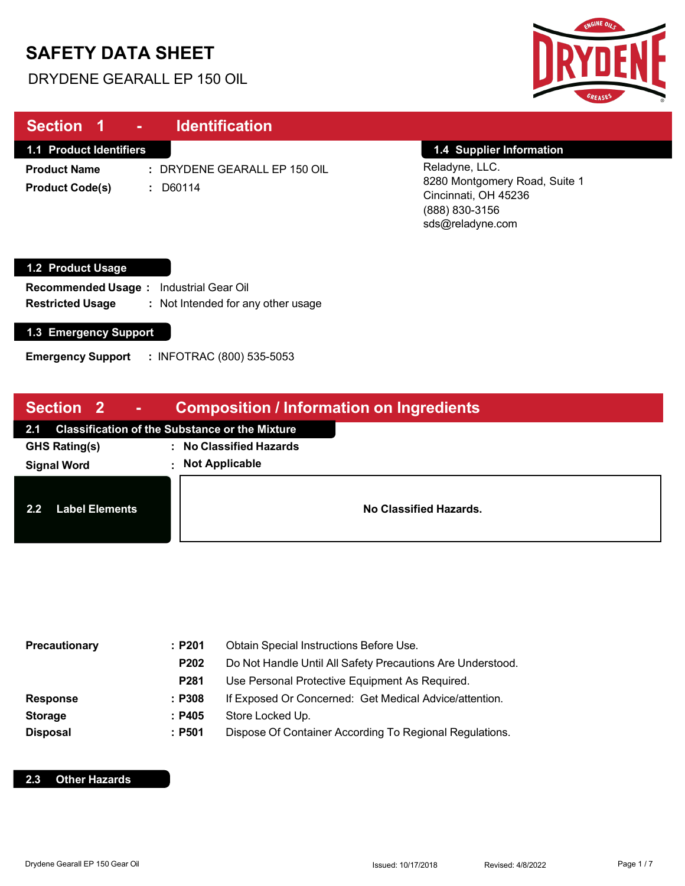# **SAFETY DATA SHEET**

DRYDENE GEARALL EP 150 OIL



| <b>Section 1</b><br>$\sim$ .                            | <b>Identification</b>                  |                                                                                                               |  |
|---------------------------------------------------------|----------------------------------------|---------------------------------------------------------------------------------------------------------------|--|
| 1.1 Product Identifiers                                 |                                        | 1.4 Supplier Information                                                                                      |  |
| <b>Product Name</b><br><b>Product Code(s)</b><br>÷.     | : DRYDENE GEARALL EP 150 OIL<br>D60114 | Reladyne, LLC.<br>8280 Montgomery Road, Suite 1<br>Cincinnati, OH 45236<br>(888) 830-3156<br>sds@reladyne.com |  |
| 1.2 Product Usage                                       |                                        |                                                                                                               |  |
| <b>Industrial Gear Oil</b><br><b>Recommended Usage:</b> |                                        |                                                                                                               |  |

**Restricted Usage :** : Not Intended for any other usage

### **1.3 Emergency Support**

 $\begin{array}{c} \hline \end{array}$ 

**Emergency Support :** INFOTRAC (800) 535-5053

| Section <sub>2</sub><br><b>ANDI</b>       | <b>Composition / Information on Ingredients</b>       |
|-------------------------------------------|-------------------------------------------------------|
| 2.1                                       | <b>Classification of the Substance or the Mixture</b> |
| <b>GHS Rating(s)</b>                      | : No Classified Hazards                               |
| <b>Signal Word</b>                        | : Not Applicable                                      |
| 2.2 <sub>2</sub><br><b>Label Elements</b> | No Classified Hazards.                                |

| Precautionary   | :P201       | Obtain Special Instructions Before Use.                    |  |
|-----------------|-------------|------------------------------------------------------------|--|
|                 | P202        | Do Not Handle Until All Safety Precautions Are Understood. |  |
|                 | <b>P281</b> | Use Personal Protective Equipment As Required.             |  |
| <b>Response</b> | :P308       | If Exposed Or Concerned: Get Medical Advice/attention.     |  |
| <b>Storage</b>  | : P405      | Store Locked Up.                                           |  |
| <b>Disposal</b> | :P501       | Dispose Of Container According To Regional Regulations.    |  |

#### **2.3 Other Hazards**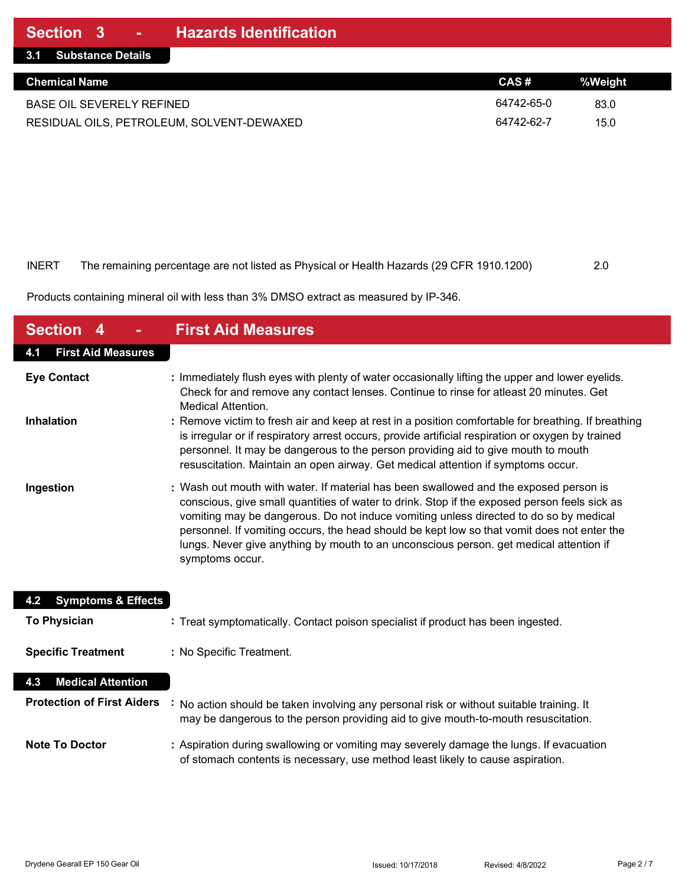| 3.1 Substance Details                     |            |         |
|-------------------------------------------|------------|---------|
| <b>Chemical Name</b>                      | CAS#       | %Weight |
| <b>BASE OIL SEVERELY REFINED</b>          | 64742-65-0 | 83.0    |
| RESIDUAL OILS, PETROLEUM, SOLVENT-DEWAXED | 64742-62-7 | 15.0    |

| INERT | The remaining percentage are not listed as Physical or Health Hazards (29 CFR 1910.1200) | 2.0 |
|-------|------------------------------------------------------------------------------------------|-----|

Products containing mineral oil with less than 3% DMSO extract as measured by IP-346.

| <b>Section 4</b>                     | <b>First Aid Measures</b>                                                                                                                                                                                                                                                                                                                                                                                                                                                                  |
|--------------------------------------|--------------------------------------------------------------------------------------------------------------------------------------------------------------------------------------------------------------------------------------------------------------------------------------------------------------------------------------------------------------------------------------------------------------------------------------------------------------------------------------------|
| <b>First Aid Measures</b><br>4.1     |                                                                                                                                                                                                                                                                                                                                                                                                                                                                                            |
| <b>Eye Contact</b>                   | : Immediately flush eyes with plenty of water occasionally lifting the upper and lower eyelids.<br>Check for and remove any contact lenses. Continue to rinse for atleast 20 minutes. Get<br><b>Medical Attention.</b>                                                                                                                                                                                                                                                                     |
| Inhalation                           | : Remove victim to fresh air and keep at rest in a position comfortable for breathing. If breathing<br>is irregular or if respiratory arrest occurs, provide artificial respiration or oxygen by trained<br>personnel. It may be dangerous to the person providing aid to give mouth to mouth<br>resuscitation. Maintain an open airway. Get medical attention if symptoms occur.                                                                                                          |
| Ingestion                            | : Wash out mouth with water. If material has been swallowed and the exposed person is<br>conscious, give small quantities of water to drink. Stop if the exposed person feels sick as<br>vomiting may be dangerous. Do not induce vomiting unless directed to do so by medical<br>personnel. If vomiting occurs, the head should be kept low so that vomit does not enter the<br>lungs. Never give anything by mouth to an unconscious person. get medical attention if<br>symptoms occur. |
| <b>Symptoms &amp; Effects</b><br>4.2 |                                                                                                                                                                                                                                                                                                                                                                                                                                                                                            |
| <b>To Physician</b>                  | : Treat symptomatically. Contact poison specialist if product has been ingested.                                                                                                                                                                                                                                                                                                                                                                                                           |
| <b>Specific Treatment</b>            | : No Specific Treatment.                                                                                                                                                                                                                                                                                                                                                                                                                                                                   |
| <b>Medical Attention</b><br>4.3      |                                                                                                                                                                                                                                                                                                                                                                                                                                                                                            |
| <b>Protection of First Aiders</b>    | No action should be taken involving any personal risk or without suitable training. It<br>may be dangerous to the person providing aid to give mouth-to-mouth resuscitation.                                                                                                                                                                                                                                                                                                               |
| <b>Note To Doctor</b>                | : Aspiration during swallowing or vomiting may severely damage the lungs. If evacuation<br>of stomach contents is necessary, use method least likely to cause aspiration.                                                                                                                                                                                                                                                                                                                  |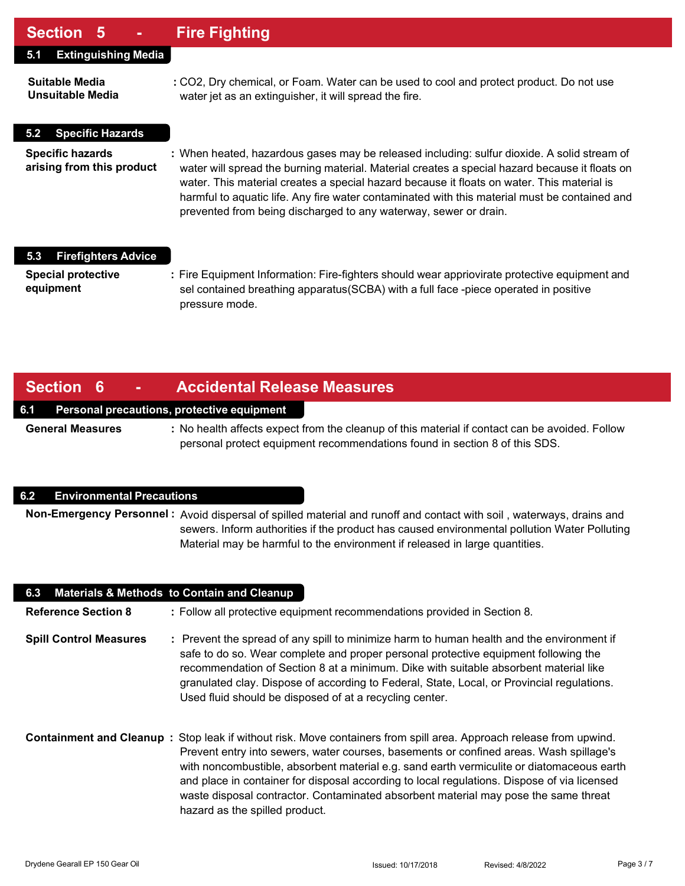### **Section 5 - Fire Fighting**

| <b>Extinguishing Media</b><br>5.1                    |                                                                                                                                                                                                                                                                                                                                                                                                                                                                  |
|------------------------------------------------------|------------------------------------------------------------------------------------------------------------------------------------------------------------------------------------------------------------------------------------------------------------------------------------------------------------------------------------------------------------------------------------------------------------------------------------------------------------------|
| Suitable Media<br><b>Unsuitable Media</b>            | : CO2, Dry chemical, or Foam. Water can be used to cool and protect product. Do not use<br>water jet as an extinguisher, it will spread the fire.                                                                                                                                                                                                                                                                                                                |
| <b>Specific Hazards</b><br>5.2                       |                                                                                                                                                                                                                                                                                                                                                                                                                                                                  |
| <b>Specific hazards</b><br>arising from this product | : When heated, hazardous gases may be released including: sulfur dioxide. A solid stream of<br>water will spread the burning material. Material creates a special hazard because it floats on<br>water. This material creates a special hazard because it floats on water. This material is<br>harmful to aquatic life. Any fire water contaminated with this material must be contained and<br>prevented from being discharged to any waterway, sewer or drain. |
| <b>Firefighters Advice</b><br>5.3                    |                                                                                                                                                                                                                                                                                                                                                                                                                                                                  |
| <b>Special protective</b><br>equipment               | : Fire Equipment Information: Fire-fighters should wear appriovirate protective equipment and<br>sel contained breathing apparatus (SCBA) with a full face -piece operated in positive<br>pressure mode.                                                                                                                                                                                                                                                         |

### **Section 6 - Accidental Release Measures**

#### **6.1 Personal precautions, protective equipment**

**General Measures :** No health affects expect from the cleanup of this material if contact can be avoided. Follow personal protect equipment recommendations found in section 8 of this SDS.

#### **6.2 Environmental Precautions**

**Non-Emergency Personnel :** Avoid dispersal of spilled material and runoff and contact with soil , waterways, drains and sewers. Inform authorities if the product has caused environmental pollution Water Polluting Material may be harmful to the environment if released in large quantities.

| 6.3                           | <b>Materials &amp; Methods to Contain and Cleanup</b>                                                                                                                                                                                                                                                                                                                                                                                                                                                                                     |
|-------------------------------|-------------------------------------------------------------------------------------------------------------------------------------------------------------------------------------------------------------------------------------------------------------------------------------------------------------------------------------------------------------------------------------------------------------------------------------------------------------------------------------------------------------------------------------------|
| <b>Reference Section 8</b>    | : Follow all protective equipment recommendations provided in Section 8.                                                                                                                                                                                                                                                                                                                                                                                                                                                                  |
| <b>Spill Control Measures</b> | : Prevent the spread of any spill to minimize harm to human health and the environment if<br>safe to do so. Wear complete and proper personal protective equipment following the<br>recommendation of Section 8 at a minimum. Dike with suitable absorbent material like<br>granulated clay. Dispose of according to Federal, State, Local, or Provincial regulations.<br>Used fluid should be disposed of at a recycling center.                                                                                                         |
|                               | <b>Containment and Cleanup</b> : Stop leak if without risk. Move containers from spill area. Approach release from upwind.<br>Prevent entry into sewers, water courses, basements or confined areas. Wash spillage's<br>with noncombustible, absorbent material e.g. sand earth vermiculite or diatomaceous earth<br>and place in container for disposal according to local regulations. Dispose of via licensed<br>waste disposal contractor. Contaminated absorbent material may pose the same threat<br>hazard as the spilled product. |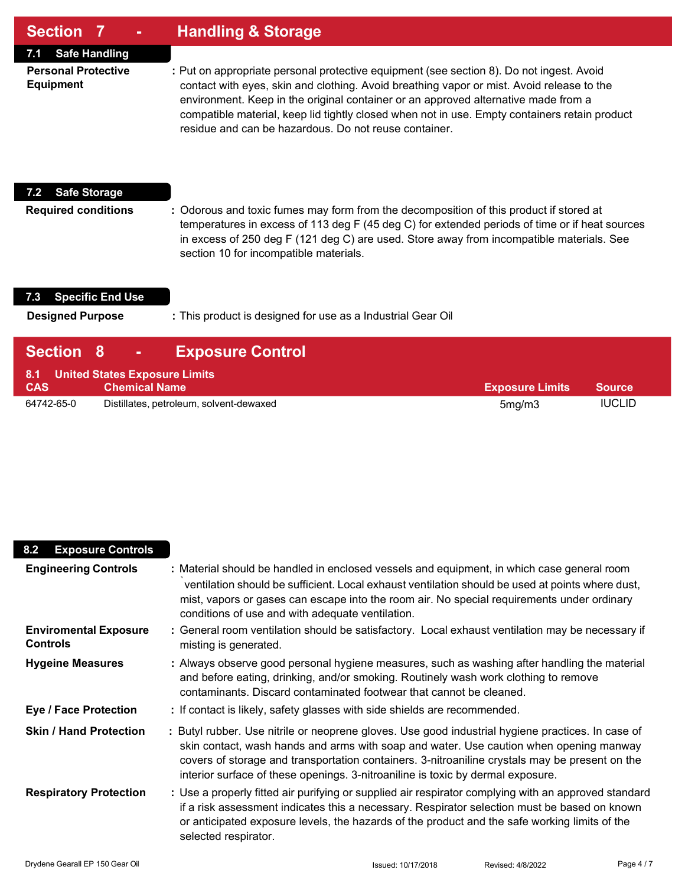| <b>Section 7</b> |  |  | ∣ Handling & Storage <sup>∣</sup> |
|------------------|--|--|-----------------------------------|
|------------------|--|--|-----------------------------------|

**7.1 Safe Handling**

**Personal Protective :** Put on appropriate personal protective equipment (see section 8). Do not ingest. Avoid **Equipment** contact with eyes, skin and clothing. Avoid breathing vapor or mist. Avoid release to the environment. Keep in the original container or an approved alternative made from a compatible material, keep lid tightly closed when not in use. Empty containers retain product residue and can be hazardous. Do not reuse container.

#### **7.2 Safe Storage**

**Required conditions :** Odorous and toxic fumes may form from the decomposition of this product if stored at temperatures in excess of 113 deg F (45 deg C) for extended periods of time or if heat sources in excess of 250 deg F (121 deg C) are used. Store away from incompatible materials. See section 10 for incompatible materials.

#### **7.3 Specific End Use**

**Designed Purpose :** This product is designed for use as a Industrial Gear Oil

| <b>Section 8</b> | <b>Exposure Control</b><br>$\mathcal{L} = \{1,2,3,4\}$    |                        |               |
|------------------|-----------------------------------------------------------|------------------------|---------------|
| <b>CAS</b>       | 8.1 United States Exposure Limits<br><b>Chemical Name</b> | <b>Exposure Limits</b> | <b>Source</b> |
| 64742-65-0       | Distillates, petroleum, solvent-dewaxed                   | 5mg/m3                 | <b>IUCLID</b> |

| 8.2<br><b>Exposure Controls</b>                 |                                                                                                                                                                                                                                                                                                                                                                                  |
|-------------------------------------------------|----------------------------------------------------------------------------------------------------------------------------------------------------------------------------------------------------------------------------------------------------------------------------------------------------------------------------------------------------------------------------------|
| <b>Engineering Controls</b>                     | : Material should be handled in enclosed vessels and equipment, in which case general room<br>ventilation should be sufficient. Local exhaust ventilation should be used at points where dust,<br>mist, vapors or gases can escape into the room air. No special requirements under ordinary<br>conditions of use and with adequate ventilation.                                 |
| <b>Enviromental Exposure</b><br><b>Controls</b> | : General room ventilation should be satisfactory. Local exhaust ventilation may be necessary if<br>misting is generated.                                                                                                                                                                                                                                                        |
| <b>Hygeine Measures</b>                         | : Always observe good personal hygiene measures, such as washing after handling the material<br>and before eating, drinking, and/or smoking. Routinely wash work clothing to remove<br>contaminants. Discard contaminated footwear that cannot be cleaned.                                                                                                                       |
| <b>Eye / Face Protection</b>                    | : If contact is likely, safety glasses with side shields are recommended.                                                                                                                                                                                                                                                                                                        |
| <b>Skin / Hand Protection</b>                   | : Butyl rubber. Use nitrile or neoprene gloves. Use good industrial hygiene practices. In case of<br>skin contact, wash hands and arms with soap and water. Use caution when opening manway<br>covers of storage and transportation containers. 3-nitroaniline crystals may be present on the<br>interior surface of these openings. 3-nitroaniline is toxic by dermal exposure. |
| <b>Respiratory Protection</b>                   | : Use a properly fitted air purifying or supplied air respirator complying with an approved standard<br>if a risk assessment indicates this a necessary. Respirator selection must be based on known<br>or anticipated exposure levels, the hazards of the product and the safe working limits of the<br>selected respirator.                                                    |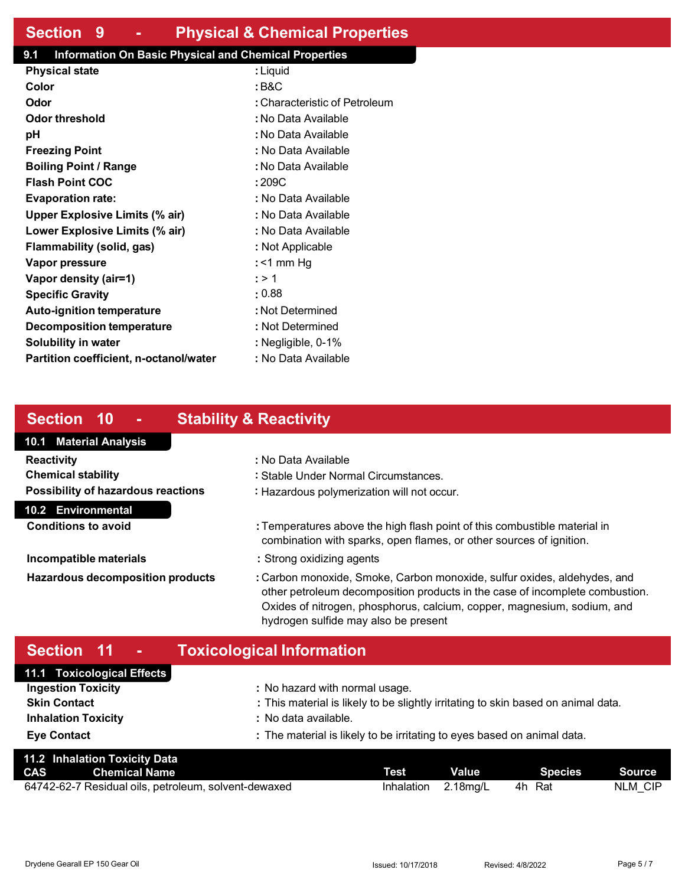### **Section 9 - Physical & Chemical Properties**

### **9.1 Information On Basic Physical and Chemical Properties**

| : Liquid                      |
|-------------------------------|
| : B&C                         |
| : Characteristic of Petroleum |
| : No Data Available           |
| : No Data Available           |
| : No Data Available           |
| : No Data Available           |
| : 209C                        |
| : No Data Available           |
| : No Data Available           |
| : No Data Available           |
| : Not Applicable              |
| : <1 mm Hg                    |
| : > 1                         |
| : 0.88                        |
| : Not Determined              |
| : Not Determined              |
| : Negligible, 0-1%            |
| : No Data Available           |
|                               |

### **Section 10 - Stability & Reactivity**

### **10.1 Material Analysis 10.2 Environmental Reactivity :** No Data Available **Chemical stability :** Stable Under Normal Circumstances. **Possibility of hazardous reactions :** Hazardous polymerization will not occur.

**Conditions to avoid :** Temperatures above the high flash point of this combustible material in combination with sparks, open flames, or other sources of ignition.

- **Incompatible materials :** Strong oxidizing agents
- **Hazardous decomposition products :** Carbon monoxide, Smoke, Carbon monoxide, sulfur oxides, aldehydes, and other petroleum decomposition products in the case of incomplete combustion. Oxides of nitrogen, phosphorus, calcium, copper, magnesium, sodium, and hydrogen sulfide may also be present

## **Section 11 - Toxicological Information**

| 11.1 Toxicological Effects |                                                                                   |
|----------------------------|-----------------------------------------------------------------------------------|
| <b>Ingestion Toxicity</b>  | : No hazard with normal usage.                                                    |
| <b>Skin Contact</b>        | : This material is likely to be slightly irritating to skin based on animal data. |
| <b>Inhalation Toxicity</b> | : No data available.                                                              |
| <b>Eye Contact</b>         | : The material is likely to be irritating to eyes based on animal data.           |

| 11.2 Inhalation Toxicity Data                        |                     |              |         |               |
|------------------------------------------------------|---------------------|--------------|---------|---------------|
| <b>CAS</b> Chemical Name                             | Test                | <b>Value</b> | Species | <b>Source</b> |
| 64742-62-7 Residual oils, petroleum, solvent-dewaxed | Inhalation 2.18mg/L |              | 4h Rat  | NLM CIP       |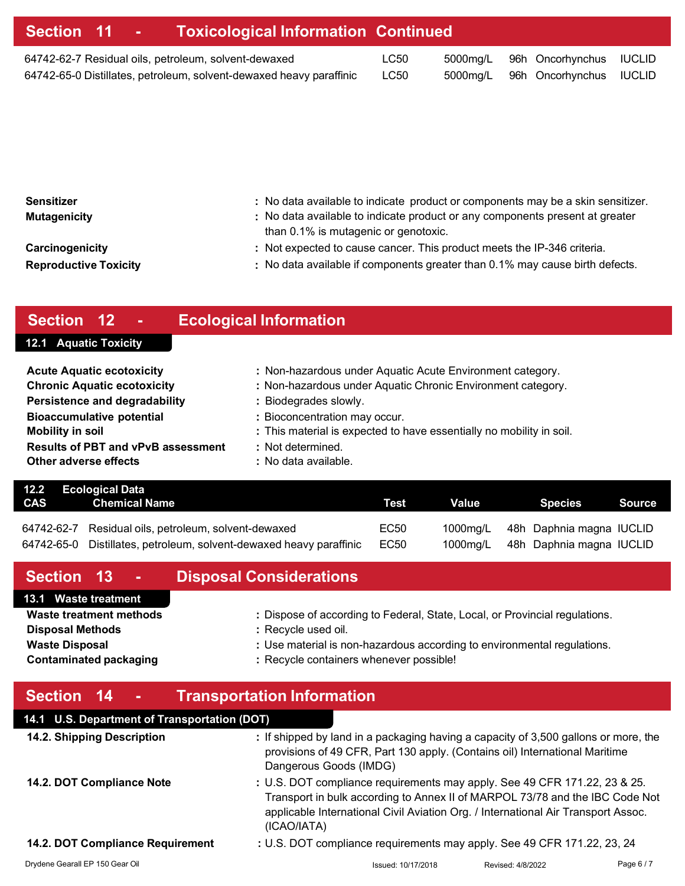|  | Section 11 - Toxicological Information Continued                                                                            |              |          |                                                             |  |
|--|-----------------------------------------------------------------------------------------------------------------------------|--------------|----------|-------------------------------------------------------------|--|
|  | 64742-62-7 Residual oils, petroleum, solvent-dewaxed<br>64742-65-0 Distillates, petroleum, solvent-dewaxed heavy paraffinic | LC50<br>LC50 | 5000mg/L | 96h Oncorhynchus IUCLID<br>5000mg/L 96h Oncorhynchus IUCLID |  |
|  |                                                                                                                             |              |          |                                                             |  |

| : No data available to indicate product or components may be a skin sensitizer.<br>: No data available to indicate product or any components present at greater<br>than 0.1% is mutagenic or genotoxic. |
|---------------------------------------------------------------------------------------------------------------------------------------------------------------------------------------------------------|
| : Not expected to cause cancer. This product meets the IP-346 criteria.<br>: No data available if components greater than 0.1% may cause birth defects.                                                 |
|                                                                                                                                                                                                         |

# **Section 12 - Ecological Information**

# **12.1 Aquatic Toxicity**

| <b>Acute Aquatic ecotoxicity</b>          | : Non-hazardous under Aquatic Acute Environment category.            |
|-------------------------------------------|----------------------------------------------------------------------|
| <b>Chronic Aquatic ecotoxicity</b>        | : Non-hazardous under Aquatic Chronic Environment category.          |
| <b>Persistence and degradability</b>      | : Biodegrades slowly.                                                |
| <b>Bioaccumulative potential</b>          | : Bioconcentration may occur.                                        |
| <b>Mobility in soil</b>                   | : This material is expected to have essentially no mobility in soil. |
| <b>Results of PBT and vPvB assessment</b> | : Not determined.                                                    |
| Other adverse effects                     | : No data available.                                                 |

|     | 12.2 Ecological Data                                                |      |       |                                   |        |
|-----|---------------------------------------------------------------------|------|-------|-----------------------------------|--------|
| CAS | Chemical Name                                                       | Test | Value | Species                           | Source |
|     |                                                                     |      |       |                                   |        |
|     | 64742-62-7 Residual oils, petroleum, solvent-dewaxed                | EC50 |       | 1000mg/L 48h Daphnia magna IUCLID |        |
|     | 64742-65-0 Distillates, petroleum, solvent-dewaxed heavy paraffinic | EC50 |       | 1000mg/L 48h Daphnia magna IUCLID |        |

| Section 13 -                                                                                                 | <b>Disposal Considerations</b>                                                                                                                                                                                           |  |
|--------------------------------------------------------------------------------------------------------------|--------------------------------------------------------------------------------------------------------------------------------------------------------------------------------------------------------------------------|--|
| 13.1 Waste treatment                                                                                         |                                                                                                                                                                                                                          |  |
| Waste treatment methods<br><b>Disposal Methods</b><br><b>Waste Disposal</b><br><b>Contaminated packaging</b> | : Dispose of according to Federal, State, Local, or Provincial regulations.<br>: Recycle used oil.<br>: Use material is non-hazardous according to environmental regulations.<br>: Recycle containers whenever possible! |  |
| Section 14 -                                                                                                 | <b>Transportation Information</b>                                                                                                                                                                                        |  |
| 14.1 U.S. Department of Transportation (DOT)                                                                 |                                                                                                                                                                                                                          |  |
| 119 Chinning Description                                                                                     | $\cdot$ If objected by land in a packaging boying a consoity of 2.500 gollare or more, the                                                                                                                               |  |

| 14.2. Shipping Description       | : If shipped by land in a packaging having a capacity of 3,500 gallons or more, the<br>provisions of 49 CFR, Part 130 apply. (Contains oil) International Maritime<br>Dangerous Goods (IMDG)                                                                  |
|----------------------------------|---------------------------------------------------------------------------------------------------------------------------------------------------------------------------------------------------------------------------------------------------------------|
| 14.2. DOT Compliance Note        | : U.S. DOT compliance requirements may apply. See 49 CFR 171.22, 23 & 25.<br>Transport in bulk according to Annex II of MARPOL 73/78 and the IBC Code Not<br>applicable International Civil Aviation Org. / International Air Transport Assoc.<br>(ICAO/IATA) |
| 14.2. DOT Compliance Requirement | : U.S. DOT compliance requirements may apply. See 49 CFR 171.22, 23, 24                                                                                                                                                                                       |